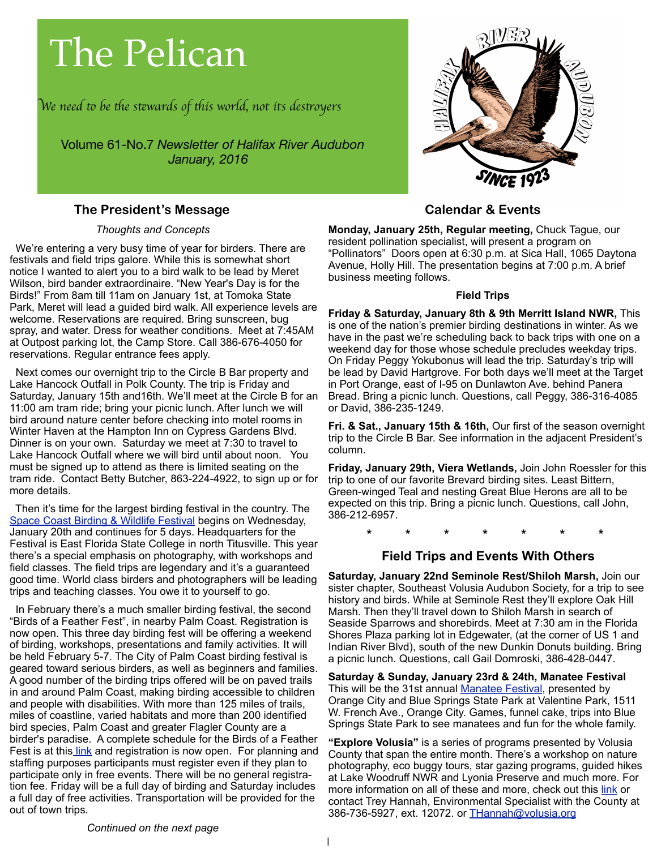# The Pelican

W*e need* " *be* #*e s*\$*wards of* #*is world, not its des*%*oyer*s

Volume 61-No.7 *Newsletter of Halifax River Audubon January, 2016*

#### **The President's Message**

#### *Thoughts and Concepts*

 We're entering a very busy time of year for birders. There are festivals and field trips galore. While this is somewhat short notice I wanted to alert you to a bird walk to be lead by Meret Wilson, bird bander extraordinaire. "New Year's Day is for the Birds!" From 8am till 11am on January 1st, at Tomoka State Park, Meret will lead a guided bird walk. All experience levels are welcome. Reservations are required. Bring sunscreen, bug spray, and water. Dress for weather conditions. Meet at 7:45AM at Outpost parking lot, the Camp Store. Call 386-676-4050 for reservations. Regular entrance fees apply.

 Next comes our overnight trip to the Circle B Bar property and Lake Hancock Outfall in Polk County. The trip is Friday and Saturday, January 15th and16th. We'll meet at the Circle B for an 11:00 am tram ride; bring your picnic lunch. After lunch we will bird around nature center before checking into motel rooms in Winter Haven at the Hampton Inn on Cypress Gardens Blvd. Dinner is on your own. Saturday we meet at 7:30 to travel to Lake Hancock Outfall where we will bird until about noon. You must be signed up to attend as there is limited seating on the tram ride. Contact Betty Butcher, 863-224-4922, to sign up or for more details.

 Then it's time for the largest birding festival in the country. The [Space Coast Birding & Wildlife Festival](http://www.spacecoastbirdingandwildlifefestival.org/) begins on Wednesday, January 20th and continues for 5 days. Headquarters for the Festival is East Florida State College in north Titusville. This year there's a special emphasis on photography, with workshops and field classes. The field trips are legendary and it's a guaranteed good time. World class birders and photographers will be leading trips and teaching classes. You owe it to yourself to go.

 In February there's a much smaller birding festival, the second "Birds of a Feather Fest", in nearby Palm Coast. Registration is now open. This three day birding fest will be offering a weekend of birding, workshops, presentations and family activities. It will be held February 5-7. The City of Palm Coast birding festival is geared toward serious birders, as well as beginners and families. A good number of the birding trips offered will be on paved trails in and around Palm Coast, making birding accessible to children and people with disabilities. With more than 125 miles of trails, miles of coastline, varied habitats and more than 200 identified bird species, Palm Coast and greater Flagler County are a birder's paradise. A complete schedule for the Birds of a Feather Fest is at thi[s link](http://www.palmcoastgov.com/events/birding-fest) and registration is now open. For planning and staffing purposes participants must register even if they plan to participate only in free events. There will be no general registration fee. Friday will be a full day of birding and Saturday includes a full day of free activities. Transportation will be provided for the out of town trips.



#### **Calendar & Events**

**Monday, January 25th, Regular meeting,** Chuck Tague, our resident pollination specialist, will present a program on "Pollinators" Doors open at 6:30 p.m. at Sica Hall, 1065 Daytona Avenue, Holly Hill. The presentation begins at 7:00 p.m. A brief business meeting follows.

#### **Field Trips**

**Friday & Saturday, January 8th & 9th Merritt Island NWR,** This is one of the nation's premier birding destinations in winter. As we have in the past we're scheduling back to back trips with one on a weekend day for those whose schedule precludes weekday trips. On Friday Peggy Yokubonus will lead the trip. Saturday's trip will be lead by David Hartgrove. For both days we'll meet at the Target in Port Orange, east of I-95 on Dunlawton Ave. behind Panera Bread. Bring a picnic lunch. Questions, call Peggy, 386-316-4085 or David, 386-235-1249.

**Fri. & Sat., January 15th & 16th,** Our first of the season overnight trip to the Circle B Bar. See information in the adjacent President's column.

**Friday, January 29th, Viera Wetlands,** Join John Roessler for this trip to one of our favorite Brevard birding sites. Least Bittern, Green-winged Teal and nesting Great Blue Herons are all to be expected on this trip. Bring a picnic lunch. Questions, call John, 386-212-6957.

 **\* \* \* \* \* \* \***

#### **Field Trips and Events With Others**

**Saturday, January 22nd Seminole Rest/Shiloh Marsh,** Join our sister chapter, Southeast Volusia Audubon Society, for a trip to see history and birds. While at Seminole Rest they'll explore Oak Hill Marsh. Then they'll travel down to Shiloh Marsh in search of Seaside Sparrows and shorebirds. Meet at 7:30 am in the Florida Shores Plaza parking lot in Edgewater, (at the corner of US 1 and Indian River Blvd), south of the new Dunkin Donuts building. Bring a picnic lunch. Questions, call Gail Domroski, 386-428-0447.

**Saturday & Sunday, January 23rd & 24th, Manatee Festival**  This will be the 31st annual [Manatee Festival,](http://themanateefestival.com/directions.html) presented by Orange City and Blue Springs State Park at Valentine Park, 1511 W. French Ave., Orange City. Games, funnel cake, trips into Blue Springs State Park to see manatees and fun for the whole family.

**"Explore Volusia"** is a series of programs presented by Volusia County that span the entire month. There's a workshop on nature photography, eco buggy tours, star gazing programs, guided hikes at Lake Woodruff NWR and Lyonia Preserve and much more. For more information on all of these and more, check out this [link](http://www.volusia.org/core/fileparse.php/5822/urlt/January2016.pdf) or contact Trey Hannah, Environmental Specialist with the County at 386-736-5927, ext. 12072. or [THannah@volusia.org](mailto:THannah@volusia.org)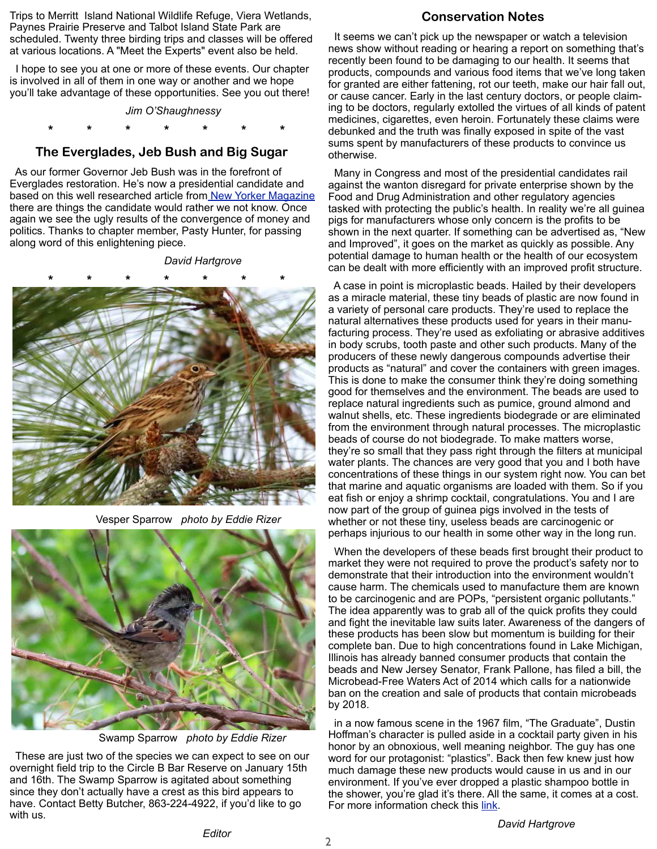Trips to Merritt Island National Wildlife Refuge, Viera Wetlands, Paynes Prairie Preserve and Talbot Island State Park are scheduled. Twenty three birding trips and classes will be offered at various locations. A "Meet the Experts" event also be held.

 I hope to see you at one or more of these events. Our chapter is involved in all of them in one way or another and we hope you'll take advantage of these opportunities. See you out there!

*Jim O'Shaughnessy*

 **\* \* \* \* \* \* \***

#### **The Everglades, Jeb Bush and Big Sugar**

 As our former Governor Jeb Bush was in the forefront of Everglades restoration. He's now a presidential candidate and based on this well researched article fro[m New Yorker Magazine](http://www.newyorker.com/magazine/2016/01/04/swamped-the-political-scene-dexter-filkins) there are things the candidate would rather we not know. Once again we see the ugly results of the convergence of money and politics. Thanks to chapter member, Pasty Hunter, for passing along word of this enlightening piece.

*David Hartgrove*



Vesper Sparrow *photo by Eddie Rizer*



Swamp Sparrow *photo by Eddie Rizer*

 These are just two of the species we can expect to see on our overnight field trip to the Circle B Bar Reserve on January 15th and 16th. The Swamp Sparrow is agitated about something since they don't actually have a crest as this bird appears to have. Contact Betty Butcher, 863-224-4922, if you'd like to go with us.

#### **Conservation Notes**

 It seems we can't pick up the newspaper or watch a television news show without reading or hearing a report on something that's recently been found to be damaging to our health. It seems that products, compounds and various food items that we've long taken for granted are either fattening, rot our teeth, make our hair fall out, or cause cancer. Early in the last century doctors, or people claiming to be doctors, regularly extolled the virtues of all kinds of patent medicines, cigarettes, even heroin. Fortunately these claims were debunked and the truth was finally exposed in spite of the vast sums spent by manufacturers of these products to convince us otherwise.

 Many in Congress and most of the presidential candidates rail against the wanton disregard for private enterprise shown by the Food and Drug Administration and other regulatory agencies tasked with protecting the public's health. In reality we're all guinea pigs for manufacturers whose only concern is the profits to be shown in the next quarter. If something can be advertised as, "New and Improved", it goes on the market as quickly as possible. Any potential damage to human health or the health of our ecosystem can be dealt with more efficiently with an improved profit structure.

 A case in point is microplastic beads. Hailed by their developers as a miracle material, these tiny beads of plastic are now found in a variety of personal care products. They're used to replace the natural alternatives these products used for years in their manufacturing process. They're used as exfoliating or abrasive additives in body scrubs, tooth paste and other such products. Many of the producers of these newly dangerous compounds advertise their products as "natural" and cover the containers with green images. This is done to make the consumer think they're doing something good for themselves and the environment. The beads are used to replace natural ingredients such as pumice, ground almond and walnut shells, etc. These ingredients biodegrade or are eliminated from the environment through natural processes. The microplastic beads of course do not biodegrade. To make matters worse, they're so small that they pass right through the filters at municipal water plants. The chances are very good that you and I both have concentrations of these things in our system right now. You can bet that marine and aquatic organisms are loaded with them. So if you eat fish or enjoy a shrimp cocktail, congratulations. You and I are now part of the group of guinea pigs involved in the tests of whether or not these tiny, useless beads are carcinogenic or perhaps injurious to our health in some other way in the long run.

 When the developers of these beads first brought their product to market they were not required to prove the product's safety nor to demonstrate that their introduction into the environment wouldn't cause harm. The chemicals used to manufacture them are known to be carcinogenic and are POPs, "persistent organic pollutants." The idea apparently was to grab all of the quick profits they could and fight the inevitable law suits later. Awareness of the dangers of these products has been slow but momentum is building for their complete ban. Due to high concentrations found in Lake Michigan, Illinois has already banned consumer products that contain the beads and New Jersey Senator, Frank Pallone, has filed a bill, the Microbead-Free Waters Act of 2014 which calls for a nationwide ban on the creation and sale of products that contain microbeads by 2018.

 in a now famous scene in the 1967 film, "The Graduate", Dustin Hoffman's character is pulled aside in a cocktail party given in his honor by an obnoxious, well meaning neighbor. The guy has one word for our protagonist: "plastics". Back then few knew just how much damage these new products would cause in us and in our environment. If you've ever dropped a plastic shampoo bottle in the shower, you're glad it's there. All the same, it comes at a cost. For more information check this [link.](https://onepercentfortheplanet.org/2014/10/a-list-of-products-that-contain-plastic-microbeads/)

*David Hartgrove*

2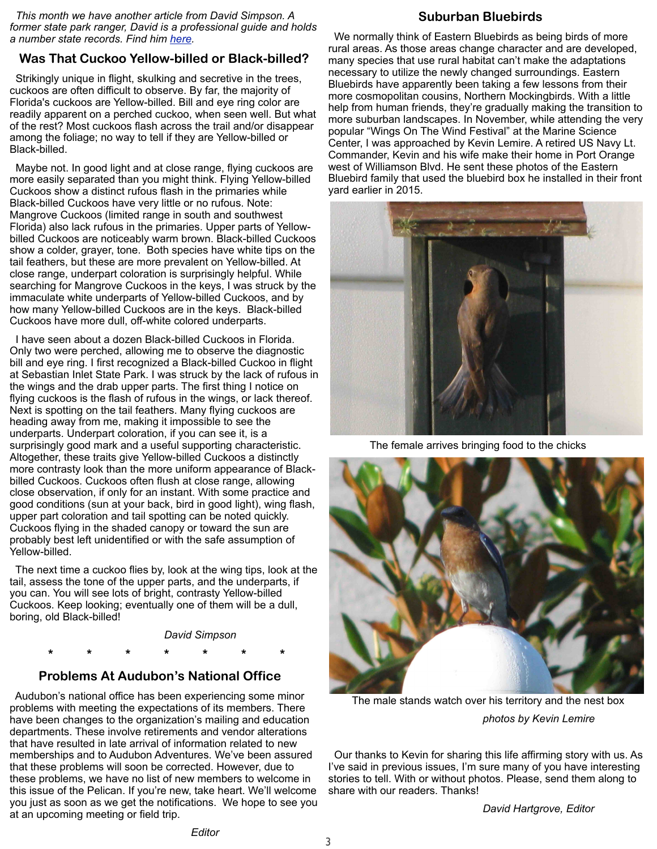*This month we have another article from David Simpson. A former state park ranger, David is a professional guide and holds a number state records. Find him [here.](http://birdingwithdavidsimpson.blogspot.com/)*

#### **Was That Cuckoo Yellow-billed or Black-billed?**

 Strikingly unique in flight, skulking and secretive in the trees, cuckoos are often difficult to observe. By far, the majority of Florida's cuckoos are Yellow-billed. Bill and eye ring color are readily apparent on a perched cuckoo, when seen well. But what of the rest? Most cuckoos flash across the trail and/or disappear among the foliage; no way to tell if they are Yellow-billed or Black-billed.

 Maybe not. In good light and at close range, flying cuckoos are more easily separated than you might think. Flying Yellow-billed Cuckoos show a distinct rufous flash in the primaries while Black-billed Cuckoos have very little or no rufous. Note: Mangrove Cuckoos (limited range in south and southwest Florida) also lack rufous in the primaries. Upper parts of Yellowbilled Cuckoos are noticeably warm brown. Black-billed Cuckoos show a colder, grayer, tone. Both species have white tips on the tail feathers, but these are more prevalent on Yellow-billed. At close range, underpart coloration is surprisingly helpful. While searching for Mangrove Cuckoos in the keys, I was struck by the immaculate white underparts of Yellow-billed Cuckoos, and by how many Yellow-billed Cuckoos are in the keys. Black-billed Cuckoos have more dull, off-white colored underparts.

 I have seen about a dozen Black-billed Cuckoos in Florida. Only two were perched, allowing me to observe the diagnostic bill and eye ring. I first recognized a Black-billed Cuckoo in flight at Sebastian Inlet State Park. I was struck by the lack of rufous in the wings and the drab upper parts. The first thing I notice on flying cuckoos is the flash of rufous in the wings, or lack thereof. Next is spotting on the tail feathers. Many flying cuckoos are heading away from me, making it impossible to see the underparts. Underpart coloration, if you can see it, is a surprisingly good mark and a useful supporting characteristic. Altogether, these traits give Yellow-billed Cuckoos a distinctly more contrasty look than the more uniform appearance of Blackbilled Cuckoos. Cuckoos often flush at close range, allowing close observation, if only for an instant. With some practice and good conditions (sun at your back, bird in good light), wing flash, upper part coloration and tail spotting can be noted quickly. Cuckoos flying in the shaded canopy or toward the sun are probably best left unidentified or with the safe assumption of Yellow-billed.

 The next time a cuckoo flies by, look at the wing tips, look at the tail, assess the tone of the upper parts, and the underparts, if you can. You will see lots of bright, contrasty Yellow-billed Cuckoos. Keep looking; eventually one of them will be a dull, boring, old Black-billed!

*David Simpson*

 **\* \* \* \* \* \* \***

#### **Problems At Audubon's National Office**

 Audubon's national office has been experiencing some minor problems with meeting the expectations of its members. There have been changes to the organization's mailing and education departments. These involve retirements and vendor alterations that have resulted in late arrival of information related to new memberships and to Audubon Adventures. We've been assured that these problems will soon be corrected. However, due to these problems, we have no list of new members to welcome in this issue of the Pelican. If you're new, take heart. We'll welcome you just as soon as we get the notifications. We hope to see you at an upcoming meeting or field trip.

#### **Suburban Bluebirds**

 We normally think of Eastern Bluebirds as being birds of more rural areas. As those areas change character and are developed, many species that use rural habitat can't make the adaptations necessary to utilize the newly changed surroundings. Eastern Bluebirds have apparently been taking a few lessons from their more cosmopolitan cousins, Northern Mockingbirds. With a little help from human friends, they're gradually making the transition to more suburban landscapes. In November, while attending the very popular "Wings On The Wind Festival" at the Marine Science Center, I was approached by Kevin Lemire. A retired US Navy Lt. Commander, Kevin and his wife make their home in Port Orange west of Williamson Blvd. He sent these photos of the Eastern Bluebird family that used the bluebird box he installed in their front yard earlier in 2015.



The female arrives bringing food to the chicks



 The male stands watch over his territory and the nest box *photos by Kevin Lemire*

 Our thanks to Kevin for sharing this life affirming story with us. As I've said in previous issues, I'm sure many of you have interesting stories to tell. With or without photos. Please, send them along to share with our readers. Thanks!

*David Hartgrove, Editor*